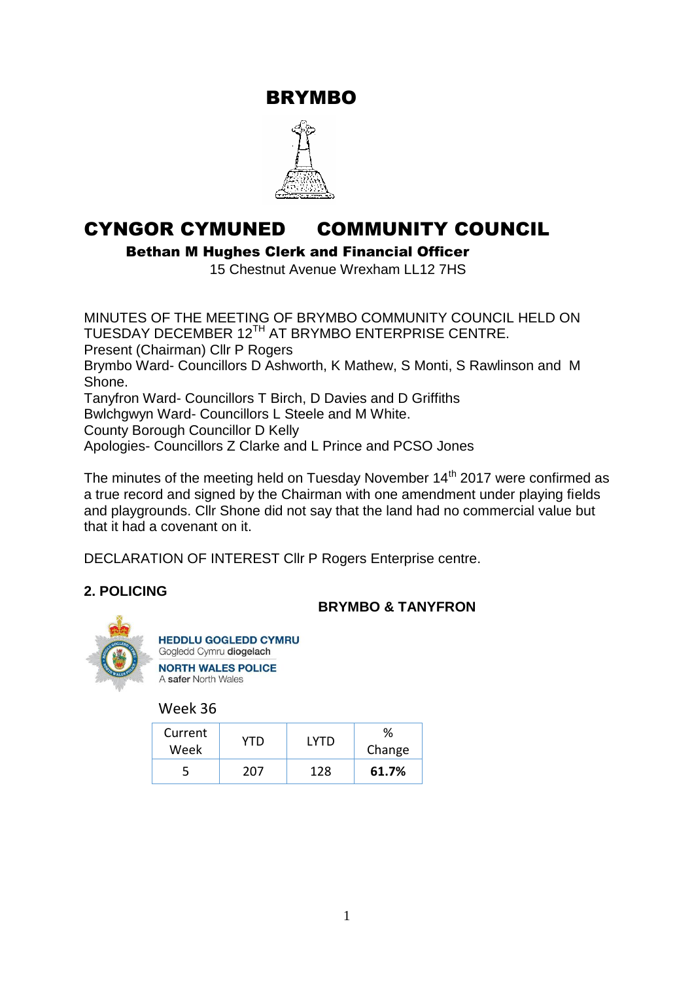BRYMBO



# CYNGOR CYMUNED COMMUNITY COUNCIL

Bethan M Hughes Clerk and Financial Officer

15 Chestnut Avenue Wrexham LL12 7HS

MINUTES OF THE MEETING OF BRYMBO COMMUNITY COUNCIL HELD ON TUESDAY DECEMBER 12<sup>TH</sup> AT BRYMBO ENTERPRISE CENTRE. Present (Chairman) Cllr P Rogers Brymbo Ward- Councillors D Ashworth, K Mathew, S Monti, S Rawlinson and M Shone. Tanyfron Ward- Councillors T Birch, D Davies and D Griffiths Bwlchgwyn Ward- Councillors L Steele and M White. County Borough Councillor D Kelly Apologies- Councillors Z Clarke and L Prince and PCSO Jones

The minutes of the meeting held on Tuesday November  $14<sup>th</sup>$  2017 were confirmed as a true record and signed by the Chairman with one amendment under playing fields and playgrounds. Cllr Shone did not say that the land had no commercial value but that it had a covenant on it.

DECLARATION OF INTEREST Cllr P Rogers Enterprise centre.

# **2. POLICING**

# **BRYMBO & TANYFRON**



Week 36

| Current<br>Week | YTD | I YTD | %<br>Change |
|-----------------|-----|-------|-------------|
|                 | 207 | 128   | 61.7%       |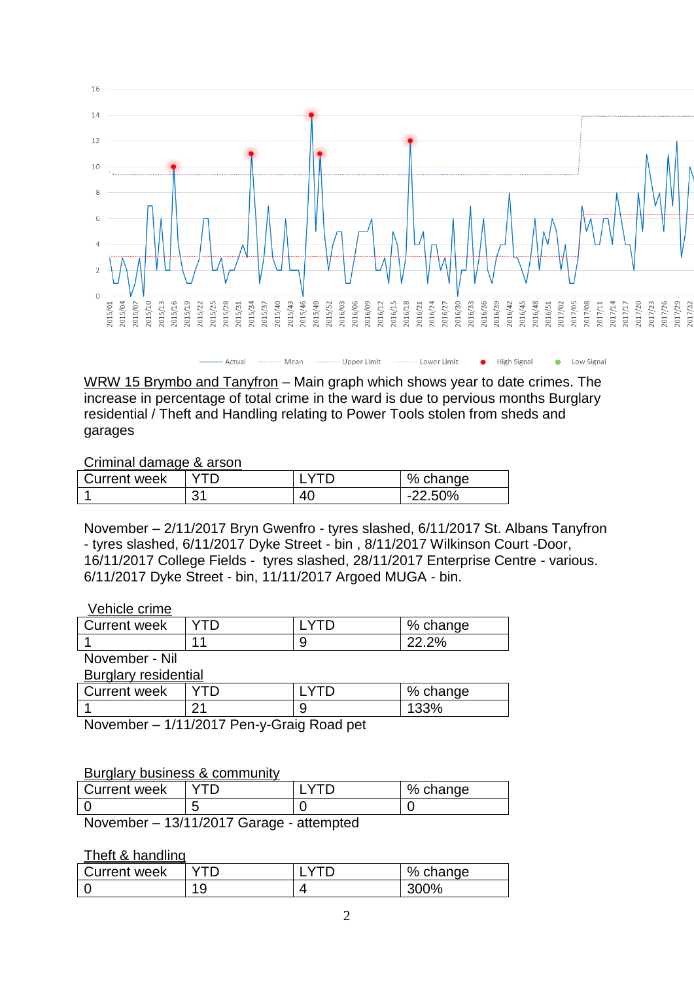

**High Signal** 

Low Signal

WRW 15 Brymbo and Tanyfron – Main graph which shows year to date crimes. The increase in percentage of total crime in the ward is due to pervious months Burglary residential / Theft and Handling relating to Power Tools stolen from sheds and garages

**Upper Limit** 

#### Criminal damage & arson

| <b>Current week</b> |                |         | % change       |
|---------------------|----------------|---------|----------------|
|                     | 3 <sub>1</sub> | Δſ<br>∼ | 3.50%<br>- - - |

Mean

November – 2/11/2017 Bryn Gwenfro - tyres slashed, 6/11/2017 St. Albans Tanyfron - tyres slashed, 6/11/2017 Dyke Street - bin , 8/11/2017 Wilkinson Court -Door, 16/11/2017 College Fields - tyres slashed, 28/11/2017 Enterprise Centre - various. 6/11/2017 Dyke Street - bin, 11/11/2017 Argoed MUGA - bin.

#### Vehicle crime

| Current week | %<br>change |
|--------------|-------------|
|              |             |
| .<br>. .     |             |

November - Nil

Burglary residential

| <b>Current week</b> |          |   | %<br>change |
|---------------------|----------|---|-------------|
|                     | ົ<br>_ _ | w | 33%         |

November – 1/11/2017 Pen-y-Graig Road pet

#### Burglary business & community

| Current week |   | $\%$<br>nange∹ |
|--------------|---|----------------|
|              |   |                |
| .            | . |                |

November – 13/11/2017 Garage - attempted

Theft & handling

| Current week | $\sim$ | % change |
|--------------|--------|----------|
|              | 1 O    | `%       |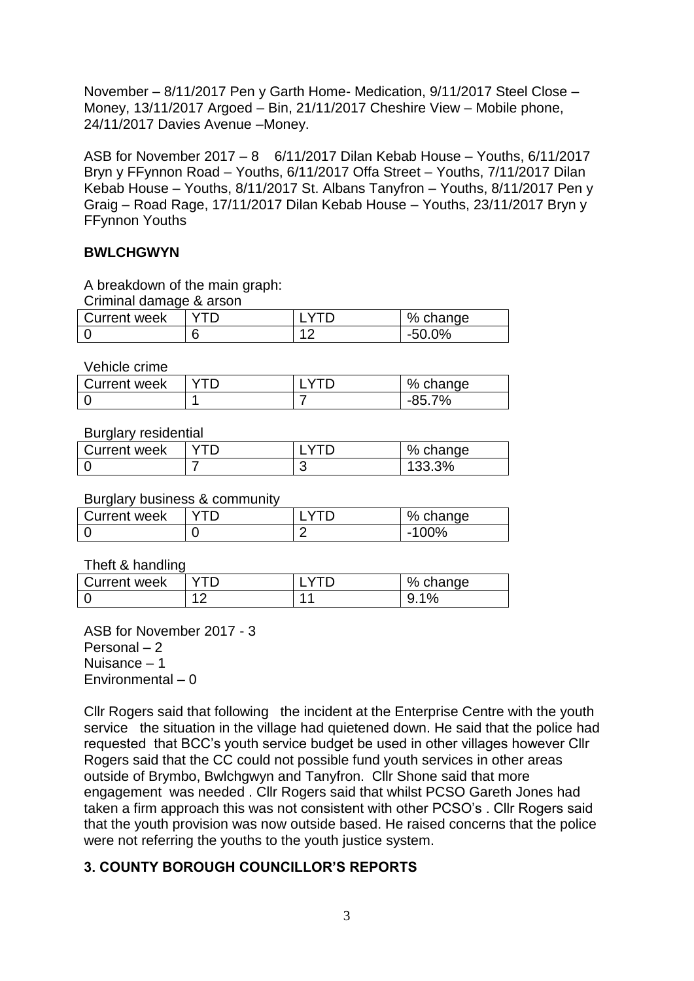November – 8/11/2017 Pen y Garth Home- Medication, 9/11/2017 Steel Close – Money, 13/11/2017 Argoed – Bin, 21/11/2017 Cheshire View – Mobile phone, 24/11/2017 Davies Avenue –Money.

ASB for November 2017 – 8 6/11/2017 Dilan Kebab House – Youths, 6/11/2017 Bryn y FFynnon Road – Youths, 6/11/2017 Offa Street – Youths, 7/11/2017 Dilan Kebab House – Youths, 8/11/2017 St. Albans Tanyfron – Youths, 8/11/2017 Pen y Graig – Road Rage, 17/11/2017 Dilan Kebab House – Youths, 23/11/2017 Bryn y FFynnon Youths

# **BWLCHGWYN**

A breakdown of the main graph:

Criminal damage & arson

| Current week |   | <sup>୍ର0</sup> /େ<br>change |
|--------------|---|-----------------------------|
|              | n | $-$                         |

Vehicle crime

| Current week |  | % ເ<br>change |
|--------------|--|---------------|
|              |  | ٬ο٬           |

Burglary residential

| Current week |  | % change |
|--------------|--|----------|
|              |  | 133.3%   |

# Burglary business & community

| ________            |  |               |
|---------------------|--|---------------|
| <b>Current week</b> |  | % change      |
| r                   |  | $00\%$<br>- 1 |

Theft & handling

| Current week |                | % change                      |
|--------------|----------------|-------------------------------|
|              | $\overline{A}$ | $\mathbf{o}$<br>u<br>70<br>J. |

ASB for November 2017 - 3 Personal – 2 Nuisance – 1 Environmental – 0

Cllr Rogers said that following the incident at the Enterprise Centre with the youth service the situation in the village had quietened down. He said that the police had requested that BCC's youth service budget be used in other villages however Cllr Rogers said that the CC could not possible fund youth services in other areas outside of Brymbo, Bwlchgwyn and Tanyfron. Cllr Shone said that more engagement was needed . Cllr Rogers said that whilst PCSO Gareth Jones had taken a firm approach this was not consistent with other PCSO's . Cllr Rogers said that the youth provision was now outside based. He raised concerns that the police were not referring the youths to the youth justice system.

# **3. COUNTY BOROUGH COUNCILLOR'S REPORTS**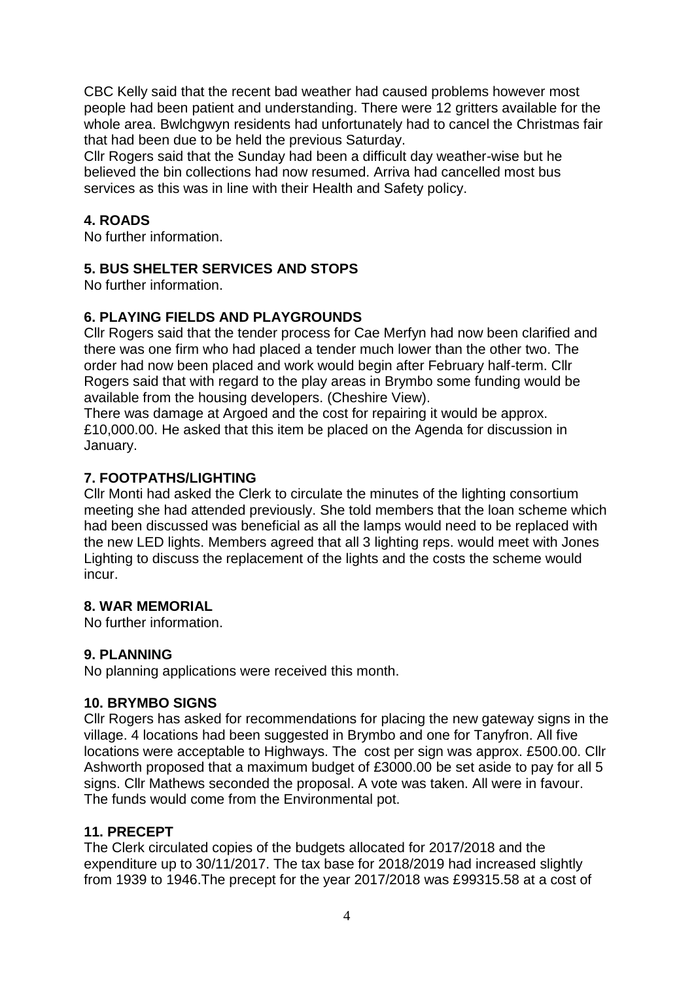CBC Kelly said that the recent bad weather had caused problems however most people had been patient and understanding. There were 12 gritters available for the whole area. Bwlchgwyn residents had unfortunately had to cancel the Christmas fair that had been due to be held the previous Saturday.

Cllr Rogers said that the Sunday had been a difficult day weather-wise but he believed the bin collections had now resumed. Arriva had cancelled most bus services as this was in line with their Health and Safety policy.

# **4. ROADS**

No further information.

# **5. BUS SHELTER SERVICES AND STOPS**

No further information.

# **6. PLAYING FIELDS AND PLAYGROUNDS**

Cllr Rogers said that the tender process for Cae Merfyn had now been clarified and there was one firm who had placed a tender much lower than the other two. The order had now been placed and work would begin after February half-term. Cllr Rogers said that with regard to the play areas in Brymbo some funding would be available from the housing developers. (Cheshire View).

There was damage at Argoed and the cost for repairing it would be approx. £10,000.00. He asked that this item be placed on the Agenda for discussion in January.

# **7. FOOTPATHS/LIGHTING**

Cllr Monti had asked the Clerk to circulate the minutes of the lighting consortium meeting she had attended previously. She told members that the loan scheme which had been discussed was beneficial as all the lamps would need to be replaced with the new LED lights. Members agreed that all 3 lighting reps. would meet with Jones Lighting to discuss the replacement of the lights and the costs the scheme would incur.

# **8. WAR MEMORIAL**

No further information.

# **9. PLANNING**

No planning applications were received this month.

# **10. BRYMBO SIGNS**

Cllr Rogers has asked for recommendations for placing the new gateway signs in the village. 4 locations had been suggested in Brymbo and one for Tanyfron. All five locations were acceptable to Highways. The cost per sign was approx. £500.00. Cllr Ashworth proposed that a maximum budget of £3000.00 be set aside to pay for all 5 signs. Cllr Mathews seconded the proposal. A vote was taken. All were in favour. The funds would come from the Environmental pot.

# **11. PRECEPT**

The Clerk circulated copies of the budgets allocated for 2017/2018 and the expenditure up to 30/11/2017. The tax base for 2018/2019 had increased slightly from 1939 to 1946.The precept for the year 2017/2018 was £99315.58 at a cost of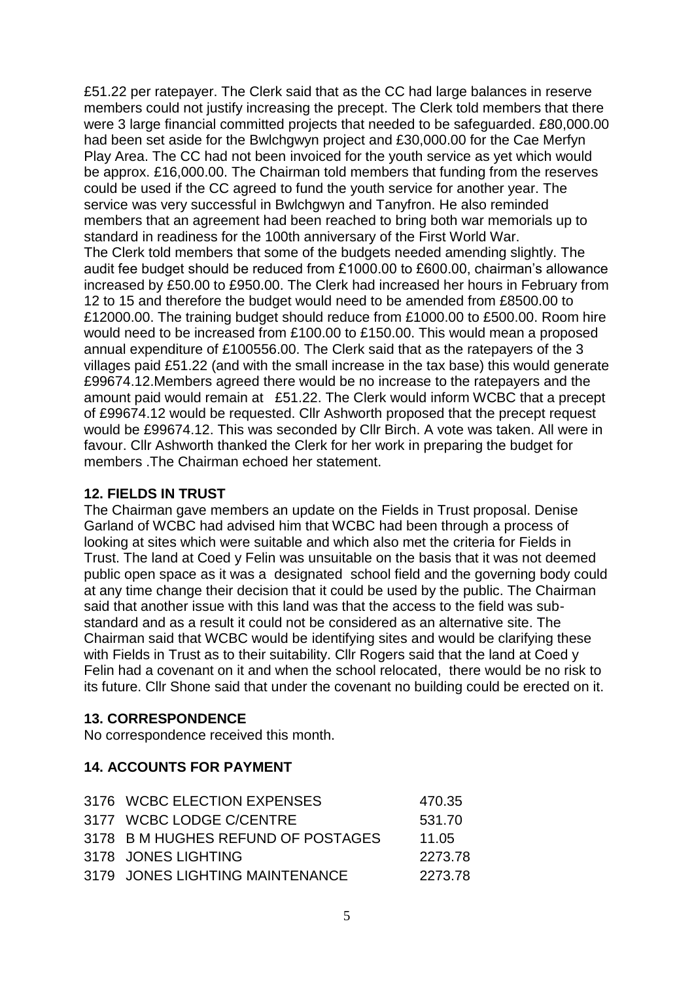£51.22 per ratepayer. The Clerk said that as the CC had large balances in reserve members could not justify increasing the precept. The Clerk told members that there were 3 large financial committed projects that needed to be safeguarded. £80,000.00 had been set aside for the Bwlchgwyn project and £30,000.00 for the Cae Merfyn Play Area. The CC had not been invoiced for the youth service as yet which would be approx. £16,000.00. The Chairman told members that funding from the reserves could be used if the CC agreed to fund the youth service for another year. The service was very successful in Bwlchgwyn and Tanyfron. He also reminded members that an agreement had been reached to bring both war memorials up to standard in readiness for the 100th anniversary of the First World War. The Clerk told members that some of the budgets needed amending slightly. The audit fee budget should be reduced from £1000.00 to £600.00, chairman's allowance increased by £50.00 to £950.00. The Clerk had increased her hours in February from 12 to 15 and therefore the budget would need to be amended from £8500.00 to £12000.00. The training budget should reduce from £1000.00 to £500.00. Room hire would need to be increased from £100.00 to £150.00. This would mean a proposed annual expenditure of £100556.00. The Clerk said that as the ratepayers of the 3 villages paid £51.22 (and with the small increase in the tax base) this would generate £99674.12.Members agreed there would be no increase to the ratepayers and the amount paid would remain at £51.22. The Clerk would inform WCBC that a precept of £99674.12 would be requested. Cllr Ashworth proposed that the precept request would be £99674.12. This was seconded by Cllr Birch. A vote was taken. All were in favour. Cllr Ashworth thanked the Clerk for her work in preparing the budget for members .The Chairman echoed her statement.

# **12. FIELDS IN TRUST**

The Chairman gave members an update on the Fields in Trust proposal. Denise Garland of WCBC had advised him that WCBC had been through a process of looking at sites which were suitable and which also met the criteria for Fields in Trust. The land at Coed y Felin was unsuitable on the basis that it was not deemed public open space as it was a designated school field and the governing body could at any time change their decision that it could be used by the public. The Chairman said that another issue with this land was that the access to the field was substandard and as a result it could not be considered as an alternative site. The Chairman said that WCBC would be identifying sites and would be clarifying these with Fields in Trust as to their suitability. Cllr Rogers said that the land at Coed y Felin had a covenant on it and when the school relocated, there would be no risk to its future. Cllr Shone said that under the covenant no building could be erected on it.

# **13. CORRESPONDENCE**

No correspondence received this month.

# **14. ACCOUNTS FOR PAYMENT**

| 470.35                                                                                                                                                  |
|---------------------------------------------------------------------------------------------------------------------------------------------------------|
| 531.70                                                                                                                                                  |
| 11.05                                                                                                                                                   |
| 2273.78                                                                                                                                                 |
| 2273.78                                                                                                                                                 |
| 3176 WCBC ELECTION EXPENSES<br>3177 WCBC LODGE C/CENTRE<br>3178 B M HUGHES REFUND OF POSTAGES<br>3178 JONES LIGHTING<br>3179 JONES LIGHTING MAINTENANCE |